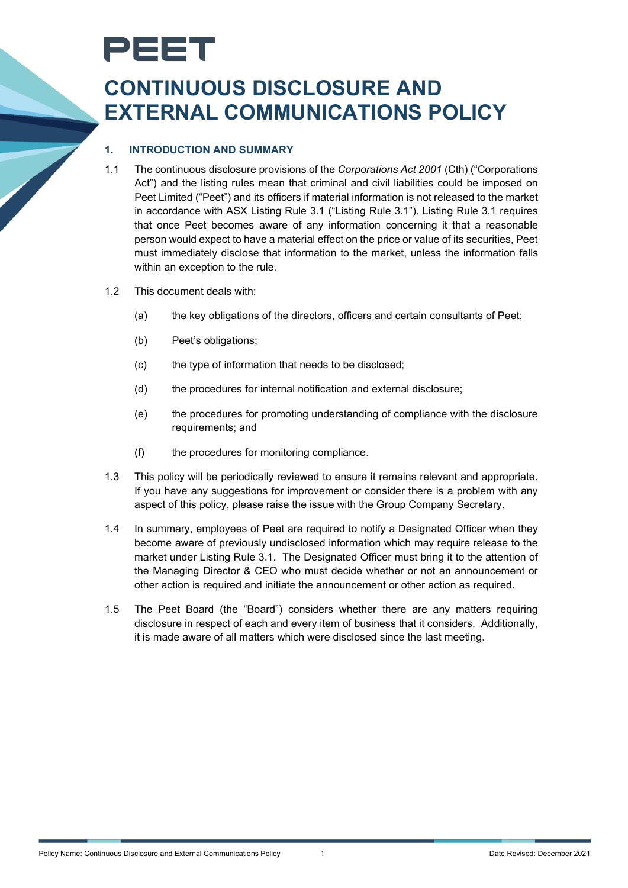# PEET

# **CONTINUOUS DISCLOSURE AND EXTERNAL COMMUNICATIONS POLICY**

## **1. INTRODUCTION AND SUMMARY**

- 1.1 The continuous disclosure provisions of the *Corporations Act 2001* (Cth) ("Corporations Act") and the listing rules mean that criminal and civil liabilities could be imposed on Peet Limited ("Peet") and its officers if material information is not released to the market in accordance with ASX Listing Rule 3.1 ("Listing Rule 3.1"). Listing Rule 3.1 requires that once Peet becomes aware of any information concerning it that a reasonable person would expect to have a material effect on the price or value of its securities, Peet must immediately disclose that information to the market, unless the information falls within an exception to the rule.
- 1.2 This document deals with:
	- (a) the key obligations of the directors, officers and certain consultants of Peet;
	- (b) Peet's obligations;
	- (c) the type of information that needs to be disclosed;
	- (d) the procedures for internal notification and external disclosure;
	- (e) the procedures for promoting understanding of compliance with the disclosure requirements; and
	- (f) the procedures for monitoring compliance.
- 1.3 This policy will be periodically reviewed to ensure it remains relevant and appropriate. If you have any suggestions for improvement or consider there is a problem with any aspect of this policy, please raise the issue with the Group Company Secretary.
- 1.4 In summary, employees of Peet are required to notify a Designated Officer when they become aware of previously undisclosed information which may require release to the market under Listing Rule 3.1. The Designated Officer must bring it to the attention of the Managing Director & CEO who must decide whether or not an announcement or other action is required and initiate the announcement or other action as required.
- 1.5 The Peet Board (the "Board") considers whether there are any matters requiring disclosure in respect of each and every item of business that it considers. Additionally, it is made aware of all matters which were disclosed since the last meeting.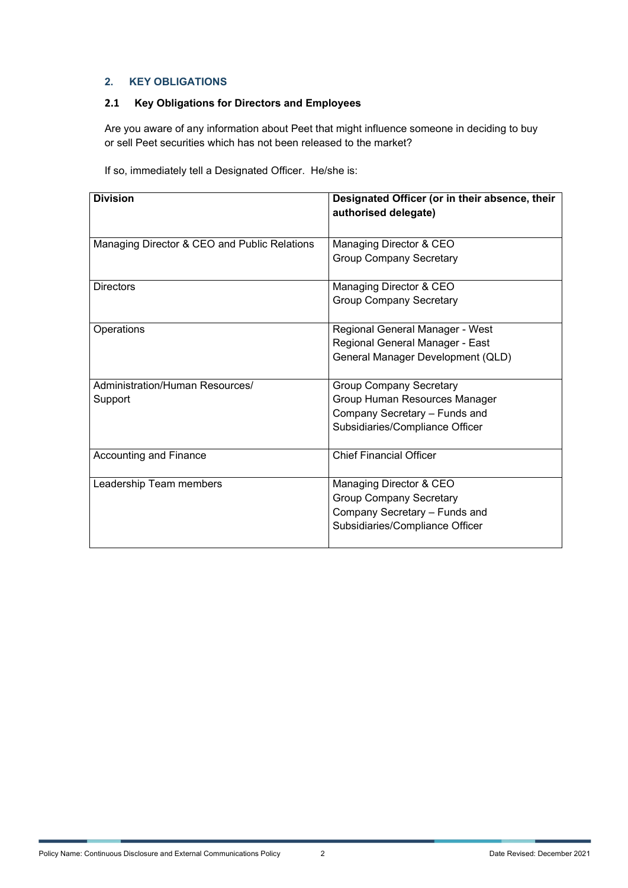#### **2. KEY OBLIGATIONS**

# **2.1 Key Obligations for Directors and Employees**

Are you aware of any information about Peet that might influence someone in deciding to buy or sell Peet securities which has not been released to the market?

If so, immediately tell a Designated Officer. He/she is:

| <b>Division</b>                              | Designated Officer (or in their absence, their<br>authorised delegate) |
|----------------------------------------------|------------------------------------------------------------------------|
| Managing Director & CEO and Public Relations | Managing Director & CEO                                                |
|                                              | <b>Group Company Secretary</b>                                         |
| <b>Directors</b>                             | Managing Director & CEO                                                |
|                                              | <b>Group Company Secretary</b>                                         |
| Operations                                   | Regional General Manager - West                                        |
|                                              | Regional General Manager - East                                        |
|                                              | General Manager Development (QLD)                                      |
| Administration/Human Resources/              | <b>Group Company Secretary</b>                                         |
| Support                                      | Group Human Resources Manager                                          |
|                                              | Company Secretary - Funds and                                          |
|                                              | Subsidiaries/Compliance Officer                                        |
| Accounting and Finance                       | <b>Chief Financial Officer</b>                                         |
| Leadership Team members                      | Managing Director & CEO                                                |
|                                              | <b>Group Company Secretary</b>                                         |
|                                              | Company Secretary - Funds and                                          |
|                                              | Subsidiaries/Compliance Officer                                        |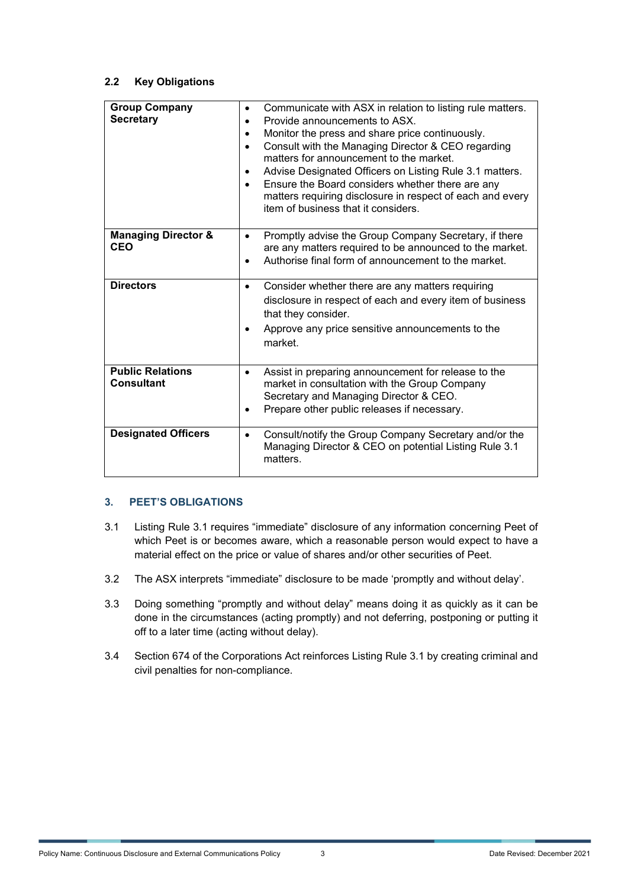#### **2.2 Key Obligations**

| <b>Group Company</b><br><b>Secretary</b>     | Communicate with ASX in relation to listing rule matters.<br>$\bullet$<br>Provide announcements to ASX.<br>Monitor the press and share price continuously.<br>Consult with the Managing Director & CEO regarding<br>$\bullet$<br>matters for announcement to the market.<br>Advise Designated Officers on Listing Rule 3.1 matters.<br>Ensure the Board considers whether there are any<br>matters requiring disclosure in respect of each and every<br>item of business that it considers. |
|----------------------------------------------|---------------------------------------------------------------------------------------------------------------------------------------------------------------------------------------------------------------------------------------------------------------------------------------------------------------------------------------------------------------------------------------------------------------------------------------------------------------------------------------------|
| <b>Managing Director &amp;</b><br><b>CEO</b> | Promptly advise the Group Company Secretary, if there<br>are any matters required to be announced to the market.<br>Authorise final form of announcement to the market.                                                                                                                                                                                                                                                                                                                     |
| <b>Directors</b>                             | Consider whether there are any matters requiring<br>disclosure in respect of each and every item of business<br>that they consider.<br>Approve any price sensitive announcements to the<br>market.                                                                                                                                                                                                                                                                                          |
| <b>Public Relations</b><br><b>Consultant</b> | Assist in preparing announcement for release to the<br>٠<br>market in consultation with the Group Company<br>Secretary and Managing Director & CEO.<br>Prepare other public releases if necessary.                                                                                                                                                                                                                                                                                          |
| <b>Designated Officers</b>                   | Consult/notify the Group Company Secretary and/or the<br>$\bullet$<br>Managing Director & CEO on potential Listing Rule 3.1<br>matters.                                                                                                                                                                                                                                                                                                                                                     |

### **3. PEET'S OBLIGATIONS**

- 3.1 Listing Rule 3.1 requires "immediate" disclosure of any information concerning Peet of which Peet is or becomes aware, which a reasonable person would expect to have a material effect on the price or value of shares and/or other securities of Peet.
- 3.2 The ASX interprets "immediate" disclosure to be made 'promptly and without delay'.
- 3.3 Doing something "promptly and without delay" means doing it as quickly as it can be done in the circumstances (acting promptly) and not deferring, postponing or putting it off to a later time (acting without delay).
- 3.4 Section 674 of the Corporations Act reinforces Listing Rule 3.1 by creating criminal and civil penalties for non-compliance.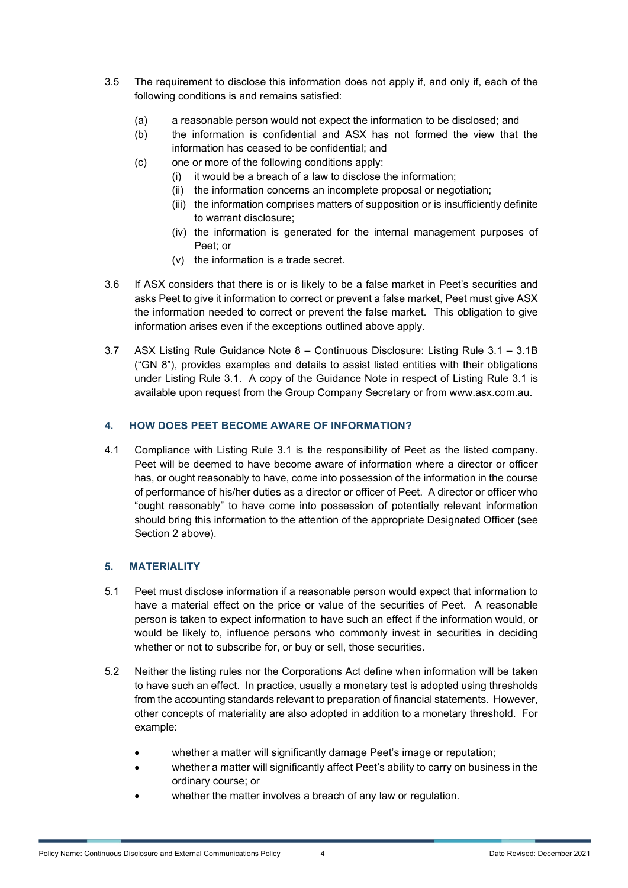- 3.5 The requirement to disclose this information does not apply if, and only if, each of the following conditions is and remains satisfied:
	- (a) a reasonable person would not expect the information to be disclosed; and
	- (b) the information is confidential and ASX has not formed the view that the information has ceased to be confidential; and
	- (c) one or more of the following conditions apply:
		- (i) it would be a breach of a law to disclose the information;
		- (ii) the information concerns an incomplete proposal or negotiation;
		- (iii) the information comprises matters of supposition or is insufficiently definite to warrant disclosure;
		- (iv) the information is generated for the internal management purposes of Peet; or
		- (v) the information is a trade secret.
- 3.6 If ASX considers that there is or is likely to be a false market in Peet's securities and asks Peet to give it information to correct or prevent a false market, Peet must give ASX the information needed to correct or prevent the false market. This obligation to give information arises even if the exceptions outlined above apply.
- 3.7 ASX Listing Rule Guidance Note 8 Continuous Disclosure: Listing Rule 3.1 3.1B ("GN 8"), provides examples and details to assist listed entities with their obligations under Listing Rule 3.1. A copy of the Guidance Note in respect of Listing Rule 3.1 is available upon request from the Group Company Secretary or from [www.asx.com.au.](http://www.asx.com.au/)

#### **4. HOW DOES PEET BECOME AWARE OF INFORMATION?**

4.1 Compliance with Listing Rule 3.1 is the responsibility of Peet as the listed company. Peet will be deemed to have become aware of information where a director or officer has, or ought reasonably to have, come into possession of the information in the course of performance of his/her duties as a director or officer of Peet. A director or officer who "ought reasonably" to have come into possession of potentially relevant information should bring this information to the attention of the appropriate Designated Officer (see Section 2 above).

#### **5. MATERIALITY**

- 5.1 Peet must disclose information if a reasonable person would expect that information to have a material effect on the price or value of the securities of Peet. A reasonable person is taken to expect information to have such an effect if the information would, or would be likely to, influence persons who commonly invest in securities in deciding whether or not to subscribe for, or buy or sell, those securities.
- 5.2 Neither the listing rules nor the Corporations Act define when information will be taken to have such an effect. In practice, usually a monetary test is adopted using thresholds from the accounting standards relevant to preparation of financial statements. However, other concepts of materiality are also adopted in addition to a monetary threshold. For example:
	- whether a matter will significantly damage Peet's image or reputation;
	- whether a matter will significantly affect Peet's ability to carry on business in the ordinary course; or
	- whether the matter involves a breach of any law or regulation.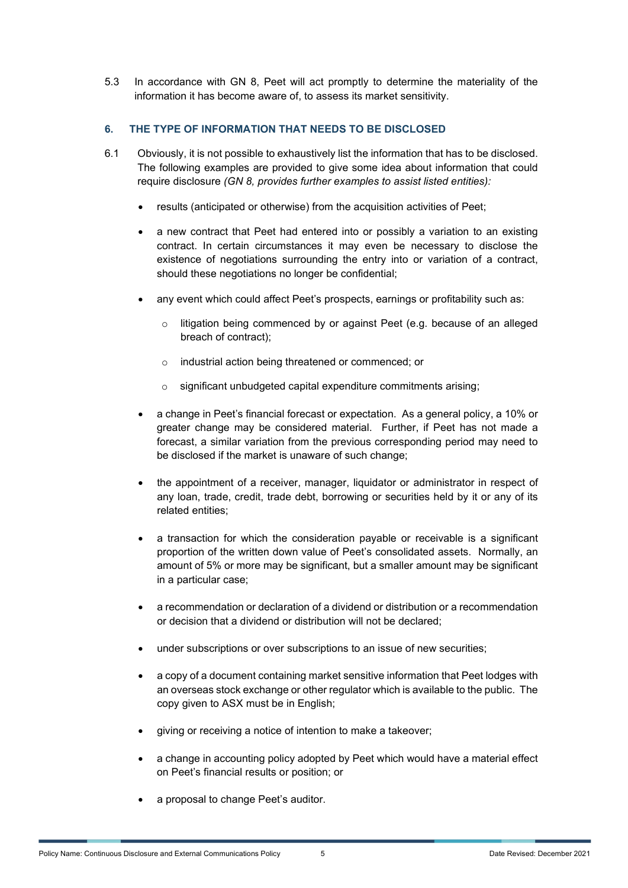5.3 In accordance with GN 8, Peet will act promptly to determine the materiality of the information it has become aware of, to assess its market sensitivity.

#### **6. THE TYPE OF INFORMATION THAT NEEDS TO BE DISCLOSED**

- 6.1 Obviously, it is not possible to exhaustively list the information that has to be disclosed. The following examples are provided to give some idea about information that could require disclosure *(GN 8, provides further examples to assist listed entities):*
	- results (anticipated or otherwise) from the acquisition activities of Peet;
	- a new contract that Peet had entered into or possibly a variation to an existing contract. In certain circumstances it may even be necessary to disclose the existence of negotiations surrounding the entry into or variation of a contract, should these negotiations no longer be confidential;
	- any event which could affect Peet's prospects, earnings or profitability such as:
		- o litigation being commenced by or against Peet (e.g. because of an alleged breach of contract);
		- o industrial action being threatened or commenced; or
		- o significant unbudgeted capital expenditure commitments arising;
	- a change in Peet's financial forecast or expectation. As a general policy, a 10% or greater change may be considered material. Further, if Peet has not made a forecast, a similar variation from the previous corresponding period may need to be disclosed if the market is unaware of such change;
	- the appointment of a receiver, manager, liquidator or administrator in respect of any loan, trade, credit, trade debt, borrowing or securities held by it or any of its related entities;
	- a transaction for which the consideration payable or receivable is a significant proportion of the written down value of Peet's consolidated assets. Normally, an amount of 5% or more may be significant, but a smaller amount may be significant in a particular case;
	- a recommendation or declaration of a dividend or distribution or a recommendation or decision that a dividend or distribution will not be declared;
	- under subscriptions or over subscriptions to an issue of new securities;
	- a copy of a document containing market sensitive information that Peet lodges with an overseas stock exchange or other regulator which is available to the public. The copy given to ASX must be in English;
	- giving or receiving a notice of intention to make a takeover;
	- a change in accounting policy adopted by Peet which would have a material effect on Peet's financial results or position; or
	- a proposal to change Peet's auditor.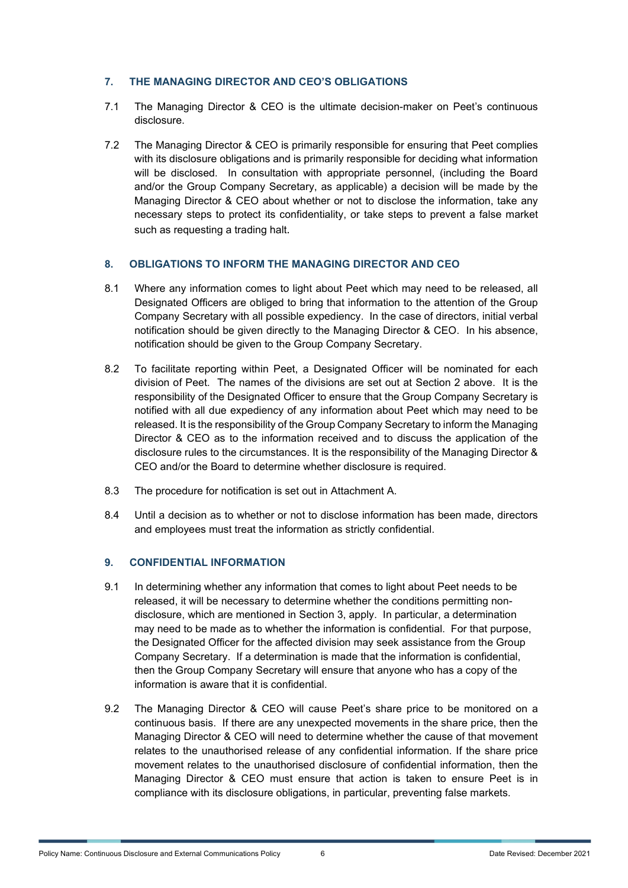#### **7. THE MANAGING DIRECTOR AND CEO'S OBLIGATIONS**

- 7.1 The Managing Director & CEO is the ultimate decision-maker on Peet's continuous disclosure.
- 7.2 The Managing Director & CEO is primarily responsible for ensuring that Peet complies with its disclosure obligations and is primarily responsible for deciding what information will be disclosed. In consultation with appropriate personnel, (including the Board and/or the Group Company Secretary, as applicable) a decision will be made by the Managing Director & CEO about whether or not to disclose the information, take any necessary steps to protect its confidentiality, or take steps to prevent a false market such as requesting a trading halt.

#### **8. OBLIGATIONS TO INFORM THE MANAGING DIRECTOR AND CEO**

- 8.1 Where any information comes to light about Peet which may need to be released, all Designated Officers are obliged to bring that information to the attention of the Group Company Secretary with all possible expediency. In the case of directors, initial verbal notification should be given directly to the Managing Director & CEO. In his absence, notification should be given to the Group Company Secretary.
- 8.2 To facilitate reporting within Peet, a Designated Officer will be nominated for each division of Peet. The names of the divisions are set out at Section 2 above. It is the responsibility of the Designated Officer to ensure that the Group Company Secretary is notified with all due expediency of any information about Peet which may need to be released. It is the responsibility of the Group Company Secretary to inform the Managing Director & CEO as to the information received and to discuss the application of the disclosure rules to the circumstances. It is the responsibility of the Managing Director & CEO and/or the Board to determine whether disclosure is required.
- 8.3 The procedure for notification is set out in Attachment A.
- 8.4 Until a decision as to whether or not to disclose information has been made, directors and employees must treat the information as strictly confidential.

#### **9. CONFIDENTIAL INFORMATION**

- 9.1 In determining whether any information that comes to light about Peet needs to be released, it will be necessary to determine whether the conditions permitting nondisclosure, which are mentioned in Section 3, apply. In particular, a determination may need to be made as to whether the information is confidential. For that purpose, the Designated Officer for the affected division may seek assistance from the Group Company Secretary. If a determination is made that the information is confidential, then the Group Company Secretary will ensure that anyone who has a copy of the information is aware that it is confidential.
- 9.2 The Managing Director & CEO will cause Peet's share price to be monitored on a continuous basis. If there are any unexpected movements in the share price, then the Managing Director & CEO will need to determine whether the cause of that movement relates to the unauthorised release of any confidential information. If the share price movement relates to the unauthorised disclosure of confidential information, then the Managing Director & CEO must ensure that action is taken to ensure Peet is in compliance with its disclosure obligations, in particular, preventing false markets.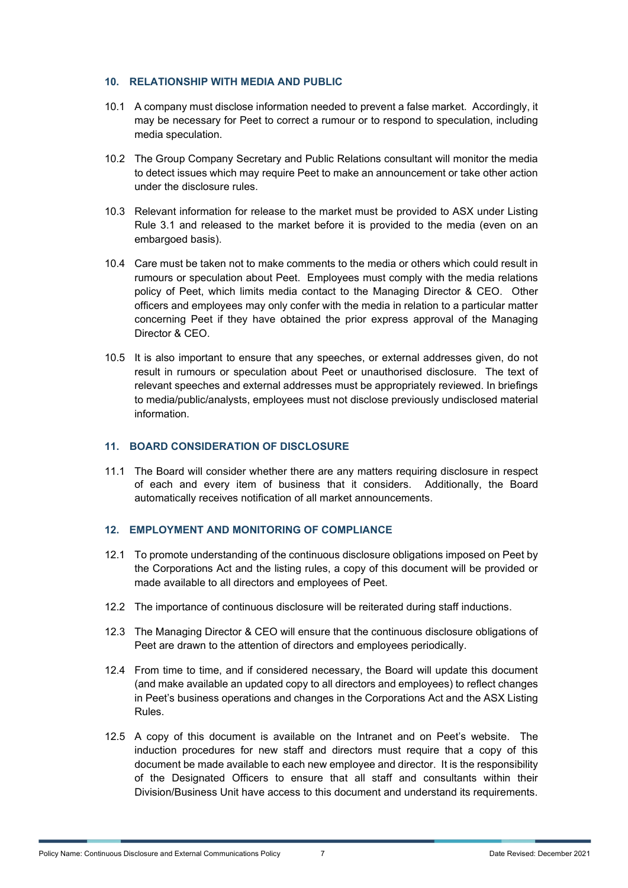#### **10. RELATIONSHIP WITH MEDIA AND PUBLIC**

- 10.1 A company must disclose information needed to prevent a false market. Accordingly, it may be necessary for Peet to correct a rumour or to respond to speculation, including media speculation.
- 10.2 The Group Company Secretary and Public Relations consultant will monitor the media to detect issues which may require Peet to make an announcement or take other action under the disclosure rules.
- 10.3 Relevant information for release to the market must be provided to ASX under Listing Rule 3.1 and released to the market before it is provided to the media (even on an embargoed basis).
- 10.4 Care must be taken not to make comments to the media or others which could result in rumours or speculation about Peet. Employees must comply with the media relations policy of Peet, which limits media contact to the Managing Director & CEO. Other officers and employees may only confer with the media in relation to a particular matter concerning Peet if they have obtained the prior express approval of the Managing Director & CEO.
- 10.5 It is also important to ensure that any speeches, or external addresses given, do not result in rumours or speculation about Peet or unauthorised disclosure. The text of relevant speeches and external addresses must be appropriately reviewed. In briefings to media/public/analysts, employees must not disclose previously undisclosed material information.

#### **11. BOARD CONSIDERATION OF DISCLOSURE**

11.1 The Board will consider whether there are any matters requiring disclosure in respect of each and every item of business that it considers. Additionally, the Board automatically receives notification of all market announcements.

#### **12. EMPLOYMENT AND MONITORING OF COMPLIANCE**

- 12.1 To promote understanding of the continuous disclosure obligations imposed on Peet by the Corporations Act and the listing rules, a copy of this document will be provided or made available to all directors and employees of Peet.
- 12.2 The importance of continuous disclosure will be reiterated during staff inductions.
- 12.3 The Managing Director & CEO will ensure that the continuous disclosure obligations of Peet are drawn to the attention of directors and employees periodically.
- 12.4 From time to time, and if considered necessary, the Board will update this document (and make available an updated copy to all directors and employees) to reflect changes in Peet's business operations and changes in the Corporations Act and the ASX Listing Rules.
- 12.5 A copy of this document is available on the Intranet and on Peet's website. The induction procedures for new staff and directors must require that a copy of this document be made available to each new employee and director. It is the responsibility of the Designated Officers to ensure that all staff and consultants within their Division/Business Unit have access to this document and understand its requirements.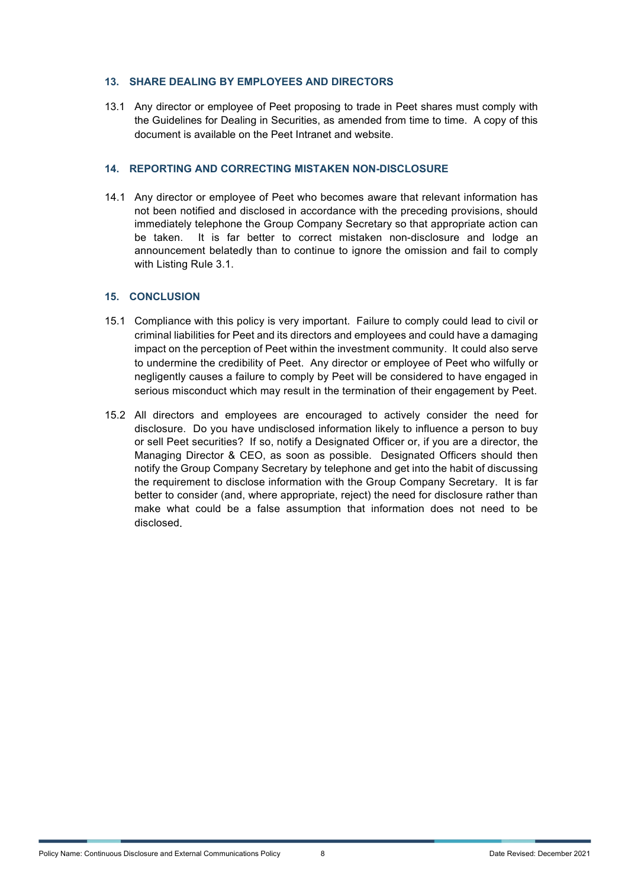#### **13. SHARE DEALING BY EMPLOYEES AND DIRECTORS**

13.1 Any director or employee of Peet proposing to trade in Peet shares must comply with the Guidelines for Dealing in Securities, as amended from time to time. A copy of this document is available on the Peet Intranet and website.

#### **14. REPORTING AND CORRECTING MISTAKEN NON-DISCLOSURE**

14.1 Any director or employee of Peet who becomes aware that relevant information has not been notified and disclosed in accordance with the preceding provisions, should immediately telephone the Group Company Secretary so that appropriate action can be taken. It is far better to correct mistaken non-disclosure and lodge an announcement belatedly than to continue to ignore the omission and fail to comply with Listing Rule 3.1.

#### **15. CONCLUSION**

- 15.1 Compliance with this policy is very important. Failure to comply could lead to civil or criminal liabilities for Peet and its directors and employees and could have a damaging impact on the perception of Peet within the investment community. It could also serve to undermine the credibility of Peet. Any director or employee of Peet who wilfully or negligently causes a failure to comply by Peet will be considered to have engaged in serious misconduct which may result in the termination of their engagement by Peet.
- 15.2 All directors and employees are encouraged to actively consider the need for disclosure. Do you have undisclosed information likely to influence a person to buy or sell Peet securities? If so, notify a Designated Officer or, if you are a director, the Managing Director & CEO, as soon as possible. Designated Officers should then notify the Group Company Secretary by telephone and get into the habit of discussing the requirement to disclose information with the Group Company Secretary. It is far better to consider (and, where appropriate, reject) the need for disclosure rather than make what could be a false assumption that information does not need to be disclosed.